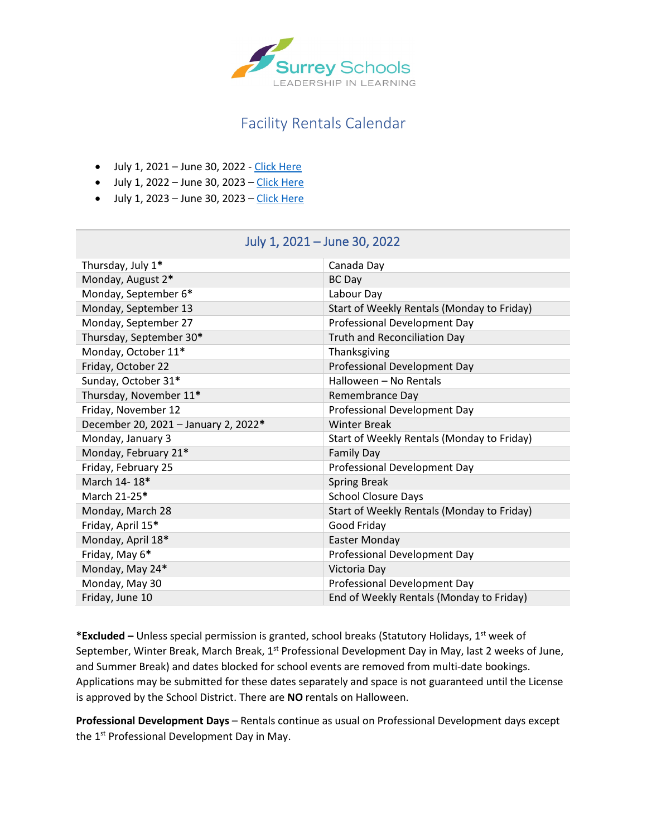

## Facility Rentals Calendar

- July 1, 2021 June 30, 2022 - [Click Here](#page-0-0)
- $\bullet$  July 1, 2022 June 30, 2023 – [Click Here](#page-1-0)
- $\bullet$  July 1, 2023 June 30, 2023 – [Click Here](#page-2-0)

<span id="page-0-0"></span>

| Thursday, July 1*                    | Canada Day                                 |
|--------------------------------------|--------------------------------------------|
| Monday, August 2*                    | <b>BC</b> Day                              |
| Monday, September 6*                 | Labour Day                                 |
| Monday, September 13                 | Start of Weekly Rentals (Monday to Friday) |
| Monday, September 27                 | Professional Development Day               |
| Thursday, September 30*              | <b>Truth and Reconciliation Day</b>        |
| Monday, October 11*                  | Thanksgiving                               |
| Friday, October 22                   | Professional Development Day               |
| Sunday, October 31*                  | Halloween - No Rentals                     |
| Thursday, November 11*               | Remembrance Day                            |
| Friday, November 12                  | Professional Development Day               |
| December 20, 2021 - January 2, 2022* | <b>Winter Break</b>                        |
| Monday, January 3                    | Start of Weekly Rentals (Monday to Friday) |
| Monday, February 21*                 | <b>Family Day</b>                          |
| Friday, February 25                  | Professional Development Day               |
| March 14-18*                         | <b>Spring Break</b>                        |
| March 21-25*                         | <b>School Closure Days</b>                 |
| Monday, March 28                     | Start of Weekly Rentals (Monday to Friday) |
| Friday, April 15*                    | Good Friday                                |
| Monday, April 18*                    | <b>Easter Monday</b>                       |
| Friday, May 6*                       | Professional Development Day               |
| Monday, May 24*                      | Victoria Day                               |
| Monday, May 30                       | Professional Development Day               |
| Friday, June 10                      | End of Weekly Rentals (Monday to Friday)   |

## July 1, 2021 – June 30, 2022

**\*Excluded –** Unless special permission is granted, school breaks (Statutory Holidays, 1st week of September, Winter Break, March Break, 1<sup>st</sup> Professional Development Day in May, last 2 weeks of June, and Summer Break) and dates blocked for school events are removed from multi-date bookings. Applications may be submitted for these dates separately and space is not guaranteed until the License is approved by the School District. There are **NO** rentals on Halloween.

**Professional Development Days** – Rentals continue as usual on Professional Development days except the 1<sup>st</sup> Professional Development Day in May.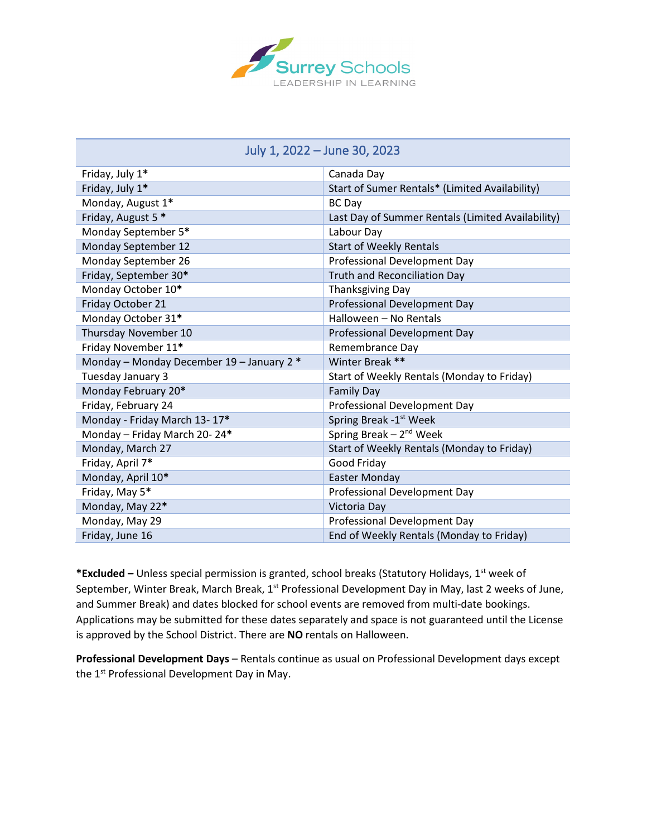

<span id="page-1-0"></span>

| JUIY 1, ZUZZ – JUIIE JU, ZUZJ             |                                                   |  |
|-------------------------------------------|---------------------------------------------------|--|
| Friday, July 1*                           | Canada Day                                        |  |
| Friday, July 1*                           | Start of Sumer Rentals* (Limited Availability)    |  |
| Monday, August 1*                         | <b>BC</b> Day                                     |  |
| Friday, August 5 *                        | Last Day of Summer Rentals (Limited Availability) |  |
| Monday September 5*                       | Labour Day                                        |  |
| Monday September 12                       | <b>Start of Weekly Rentals</b>                    |  |
| Monday September 26                       | Professional Development Day                      |  |
| Friday, September 30*                     | <b>Truth and Reconciliation Day</b>               |  |
| Monday October 10*                        | <b>Thanksgiving Day</b>                           |  |
| Friday October 21                         | Professional Development Day                      |  |
| Monday October 31*                        | Halloween - No Rentals                            |  |
| Thursday November 10                      | Professional Development Day                      |  |
| Friday November 11*                       | Remembrance Day                                   |  |
| Monday - Monday December 19 - January 2 * | Winter Break **                                   |  |
| Tuesday January 3                         | Start of Weekly Rentals (Monday to Friday)        |  |
| Monday February 20*                       | <b>Family Day</b>                                 |  |
| Friday, February 24                       | Professional Development Day                      |  |
| Monday - Friday March 13-17*              | Spring Break -1 <sup>st</sup> Week                |  |
| Monday - Friday March 20-24*              | Spring Break $-2^{nd}$ Week                       |  |
| Monday, March 27                          | Start of Weekly Rentals (Monday to Friday)        |  |
| Friday, April 7*                          | Good Friday                                       |  |
|                                           |                                                   |  |

## July 1, 2022 – June 30, 2023

**\*Excluded –** Unless special permission is granted, school breaks (Statutory Holidays, 1st week of September, Winter Break, March Break, 1<sup>st</sup> Professional Development Day in May, last 2 weeks of June, and Summer Break) and dates blocked for school events are removed from multi-date bookings. Applications may be submitted for these dates separately and space is not guaranteed until the License is approved by the School District. There are **NO** rentals on Halloween.

Monday, April 10<sup>\*</sup> **Easter Monday** 

Monday, May 22<sup>\*</sup> Victoria Day

Friday, May 5**\*** Professional Development Day

Monday, May 29 **Professional Development Day** 

Friday, June 16 **End of Weekly Rentals (Monday to Friday)** 

**Professional Development Days** – Rentals continue as usual on Professional Development days except the 1<sup>st</sup> Professional Development Day in May.